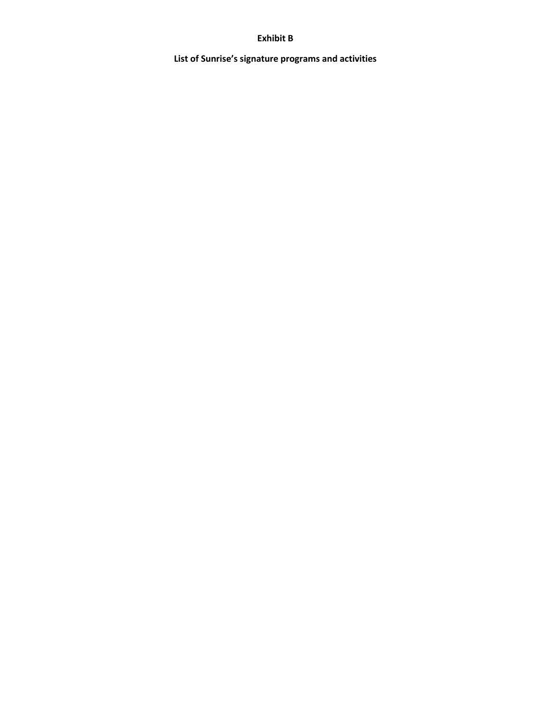#### **Exhibit B**

**List of Sunrise's signature programs and activities**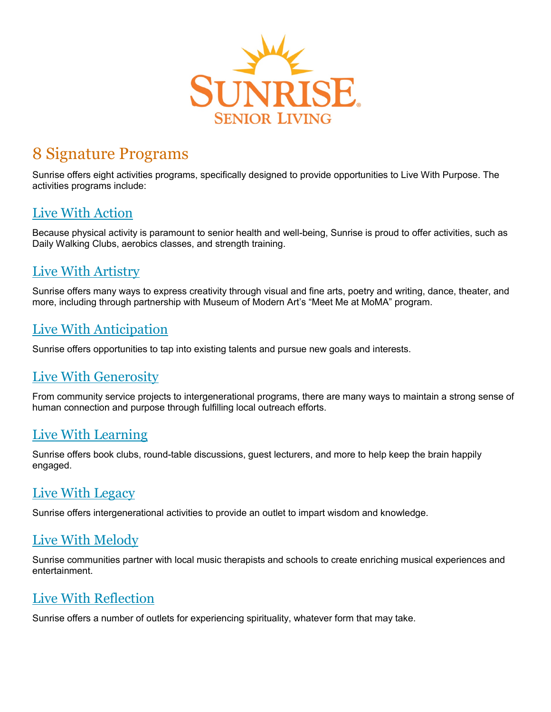

# 8 Signature Programs

Sunrise offers eight activities programs, specifically designed to provide opportunities to Live With Purpose. The activities programs include:

#### [Live With Action](https://www.sunriseseniorliving.com/resources/media-library/how-sunrise-residents-live-with-action.aspx)

Because physical activity is paramount to senior health and well-being, Sunrise is proud to offer activities, such as Daily Walking Clubs, aerobics classes, and strength training.

# [Live With Artistry](https://www.sunriseseniorliving.com/resources/media-library/how-sunrise-residents-live-with-artistry.aspx)

Sunrise offers many ways to express creativity through visual and fine arts, poetry and writing, dance, theater, and more, including through partnership with Museum of Modern Art's "Meet Me at MoMA" program.

# [Live With Anticipation](https://www.sunriseseniorliving.com/resources/media-library/how-residents-live-with-anticipation.aspx)

Sunrise offers opportunities to tap into existing talents and pursue new goals and interests.

# [Live With Generosity](https://www.sunriseseniorliving.com/resources/media-library/how-residents-live-with-generosity.aspx)

From community service projects to intergenerational programs, there are many ways to maintain a strong sense of human connection and purpose through fulfilling local outreach efforts.

# [Live With Learning](https://www.sunriseseniorliving.com/resources/media-library/how-residents-live-with-learning.aspx)

Sunrise offers book clubs, round-table discussions, guest lecturers, and more to help keep the brain happily engaged.

#### [Live With Legacy](https://www.sunriseseniorliving.com/resources/media-library/how-residents-live-with-legacy.aspx)

Sunrise offers intergenerational activities to provide an outlet to impart wisdom and knowledge.

# [Live With Melody](https://www.sunriseseniorliving.com/resources/media-library/how-sunrise-residents-live-with-melody.aspx)

Sunrise communities partner with local music therapists and schools to create enriching musical experiences and entertainment.

# [Live With Reflection](https://www.sunriseseniorliving.com/resources/media-library/how-residents-live-with-reflection.aspx)

Sunrise offers a number of outlets for experiencing spirituality, whatever form that may take.